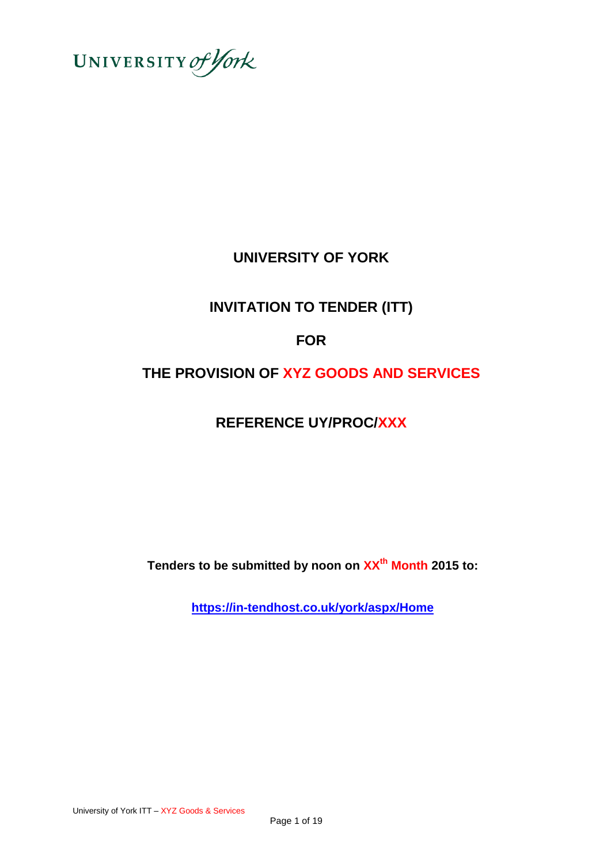

# **UNIVERSITY OF YORK**

# **INVITATION TO TENDER (ITT)**

# **FOR**

# **THE PROVISION OF XYZ GOODS AND SERVICES**

# **REFERENCE UY/PROC/XXX**

**Tenders to be submitted by noon on XXth Month 2015 to:**

**<https://in-tendhost.co.uk/york/aspx/Home>**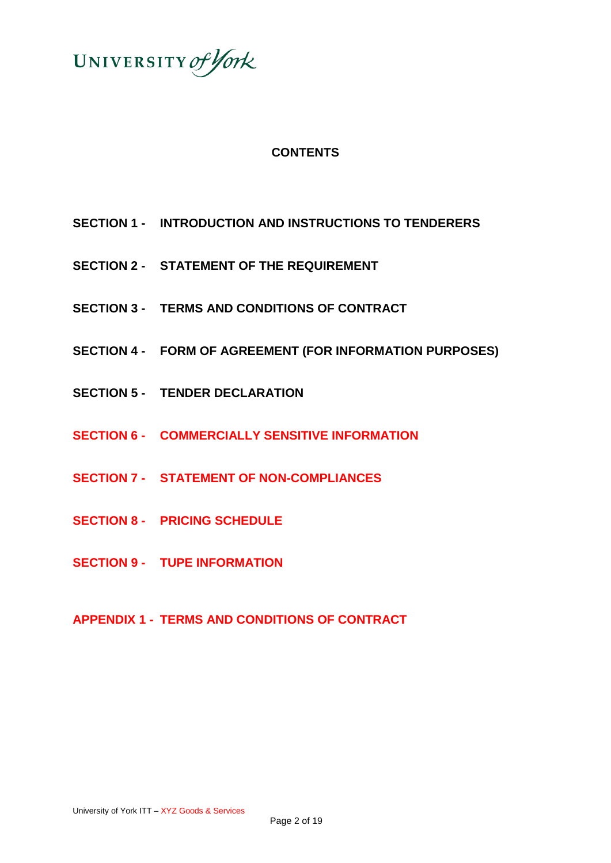

# **CONTENTS**

- **SECTION 1 - INTRODUCTION AND INSTRUCTIONS TO TENDERERS**
- **SECTION 2 - STATEMENT OF THE REQUIREMENT**
- **SECTION 3 - TERMS AND CONDITIONS OF CONTRACT**
- **SECTION 4 - FORM OF AGREEMENT (FOR INFORMATION PURPOSES)**
- **SECTION 5 - TENDER DECLARATION**
- **SECTION 6 - COMMERCIALLY SENSITIVE INFORMATION**
- **SECTION 7 - STATEMENT OF NON-COMPLIANCES**
- **SECTION 8 - PRICING SCHEDULE**
- **SECTION 9 - TUPE INFORMATION**

# **APPENDIX 1 - TERMS AND CONDITIONS OF CONTRACT**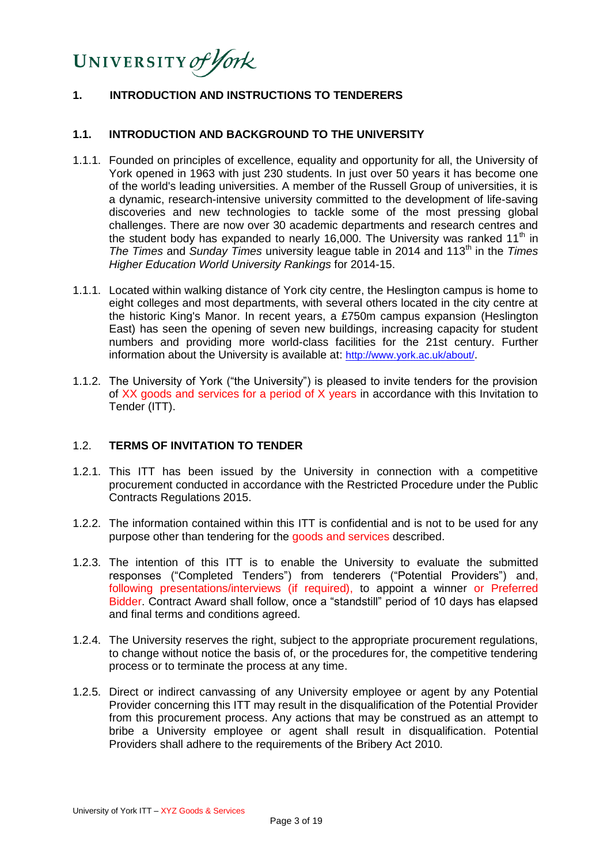# UNIVERSITY of York

## **1. INTRODUCTION AND INSTRUCTIONS TO TENDERERS**

#### **1.1. INTRODUCTION AND BACKGROUND TO THE UNIVERSITY**

- 1.1.1. Founded on principles of excellence, equality and opportunity for all, the University of York opened in 1963 with just 230 students. In just over 50 years it has become one of the world's leading universities. A member of the Russell Group of universities, it is a dynamic, research-intensive university committed to the development of life-saving discoveries and new technologies to tackle some of the most pressing global challenges. There are now over 30 academic departments and research centres and the student body has expanded to nearly 16,000. The University was ranked 11<sup>th</sup> in *The Times* and *Sunday Times* university league table in 2014 and 113th in the *Times Higher Education World University Rankings* for 2014-15.
- 1.1.1. Located within walking distance of York city centre, the Heslington campus is home to eight colleges and most departments, with several others located in the city centre at the historic King's Manor. In recent years, a £750m campus expansion (Heslington East) has seen the opening of seven new buildings, increasing capacity for student numbers and providing more world-class facilities for the 21st century. Further information about the University is available at: <http://www.york.ac.uk/about/>.
- 1.1.2. The University of York ("the University") is pleased to invite tenders for the provision of XX goods and services for a period of X years in accordance with this Invitation to Tender (ITT).

#### 1.2. **TERMS OF INVITATION TO TENDER**

- 1.2.1. This ITT has been issued by the University in connection with a competitive procurement conducted in accordance with the Restricted Procedure under the Public Contracts Regulations 2015.
- 1.2.2. The information contained within this ITT is confidential and is not to be used for any purpose other than tendering for the goods and services described.
- 1.2.3. The intention of this ITT is to enable the University to evaluate the submitted responses ("Completed Tenders") from tenderers ("Potential Providers") and, following presentations/interviews (if required), to appoint a winner or Preferred Bidder. Contract Award shall follow, once a "standstill" period of 10 days has elapsed and final terms and conditions agreed.
- 1.2.4. The University reserves the right, subject to the appropriate procurement regulations, to change without notice the basis of, or the procedures for, the competitive tendering process or to terminate the process at any time.
- 1.2.5. Direct or indirect canvassing of any University employee or agent by any Potential Provider concerning this ITT may result in the disqualification of the Potential Provider from this procurement process. Any actions that may be construed as an attempt to bribe a University employee or agent shall result in disqualification. Potential Providers shall adhere to the requirements of the Bribery Act 2010.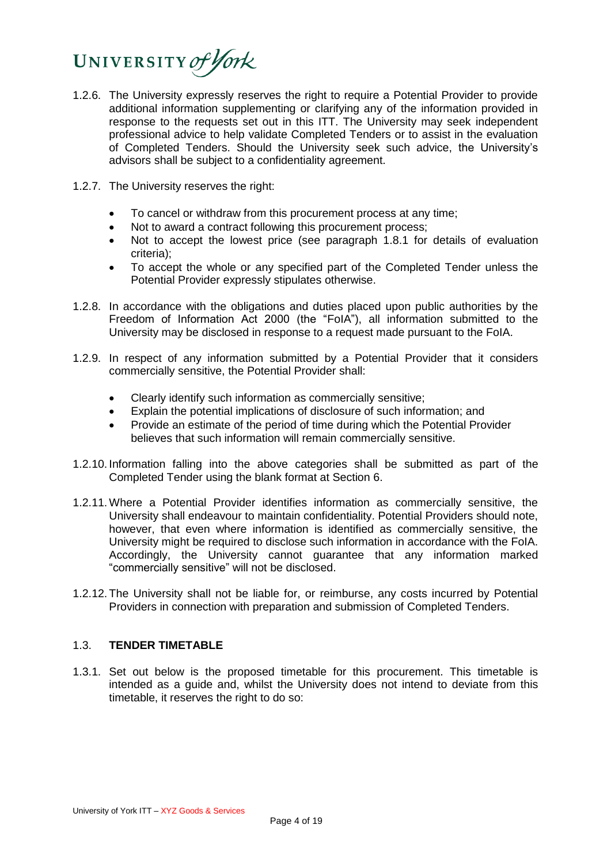# UNIVERSITY of York

- 1.2.6. The University expressly reserves the right to require a Potential Provider to provide additional information supplementing or clarifying any of the information provided in response to the requests set out in this ITT. The University may seek independent professional advice to help validate Completed Tenders or to assist in the evaluation of Completed Tenders. Should the University seek such advice, the University's advisors shall be subject to a confidentiality agreement.
- 1.2.7. The University reserves the right:
	- To cancel or withdraw from this procurement process at any time;
	- Not to award a contract following this procurement process;
	- Not to accept the lowest price (see paragraph 1.8.1 for details of evaluation criteria);
	- To accept the whole or any specified part of the Completed Tender unless the Potential Provider expressly stipulates otherwise.
- 1.2.8. In accordance with the obligations and duties placed upon public authorities by the Freedom of Information Act 2000 (the "FoIA"), all information submitted to the University may be disclosed in response to a request made pursuant to the FoIA.
- 1.2.9. In respect of any information submitted by a Potential Provider that it considers commercially sensitive, the Potential Provider shall:
	- Clearly identify such information as commercially sensitive;
	- Explain the potential implications of disclosure of such information; and
	- Provide an estimate of the period of time during which the Potential Provider believes that such information will remain commercially sensitive.
- 1.2.10. Information falling into the above categories shall be submitted as part of the Completed Tender using the blank format at Section 6.
- 1.2.11.Where a Potential Provider identifies information as commercially sensitive, the University shall endeavour to maintain confidentiality. Potential Providers should note, however, that even where information is identified as commercially sensitive, the University might be required to disclose such information in accordance with the FoIA. Accordingly, the University cannot guarantee that any information marked "commercially sensitive" will not be disclosed.
- 1.2.12. The University shall not be liable for, or reimburse, any costs incurred by Potential Providers in connection with preparation and submission of Completed Tenders.

# 1.3. **TENDER TIMETABLE**

1.3.1. Set out below is the proposed timetable for this procurement. This timetable is intended as a guide and, whilst the University does not intend to deviate from this timetable, it reserves the right to do so: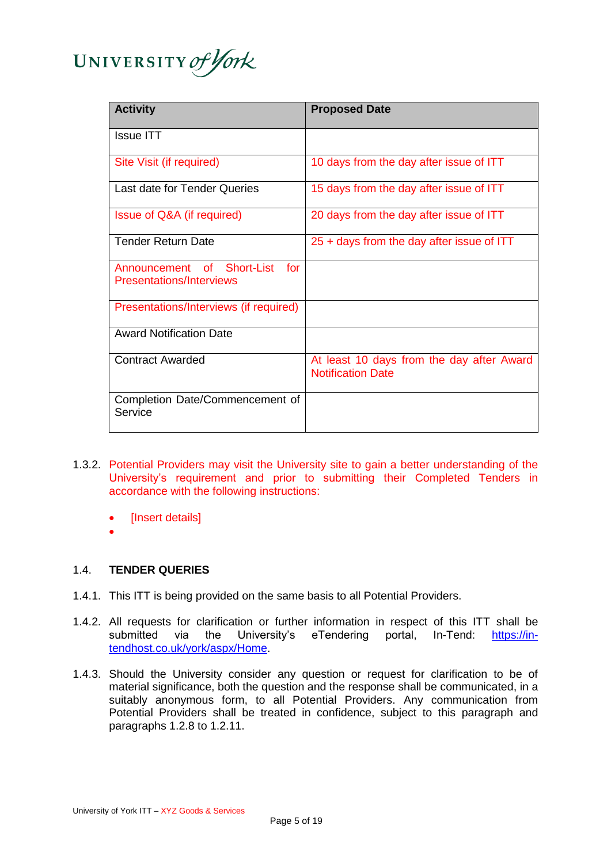

| <b>Activity</b>                                                     | <b>Proposed Date</b>                                                  |
|---------------------------------------------------------------------|-----------------------------------------------------------------------|
| <b>Issue ITT</b>                                                    |                                                                       |
| Site Visit (if required)                                            | 10 days from the day after issue of ITT                               |
| Last date for Tender Queries                                        | 15 days from the day after issue of ITT                               |
| Issue of Q&A (if required)                                          | 20 days from the day after issue of ITT                               |
| <b>Tender Return Date</b>                                           | $25 +$ days from the day after issue of ITT                           |
| Short-List<br>of<br>for<br>Announcement<br>Presentations/Interviews |                                                                       |
| Presentations/Interviews (if required)                              |                                                                       |
| <b>Award Notification Date</b>                                      |                                                                       |
| <b>Contract Awarded</b>                                             | At least 10 days from the day after Award<br><b>Notification Date</b> |
| Completion Date/Commencement of<br>Service                          |                                                                       |

- 1.3.2. Potential Providers may visit the University site to gain a better understanding of the University's requirement and prior to submitting their Completed Tenders in accordance with the following instructions:
	- [Insert details]
	- $\overline{\phantom{a}}$

## 1.4. **TENDER QUERIES**

- 1.4.1. This ITT is being provided on the same basis to all Potential Providers.
- 1.4.2. All requests for clarification or further information in respect of this ITT shall be submitted via the University's eTendering portal, In-Tend: [https://in](https://in-tendhost.co.uk/york/aspx/Home)[tendhost.co.uk/york/aspx/Home.](https://in-tendhost.co.uk/york/aspx/Home)
- 1.4.3. Should the University consider any question or request for clarification to be of material significance, both the question and the response shall be communicated, in a suitably anonymous form, to all Potential Providers. Any communication from Potential Providers shall be treated in confidence, subject to this paragraph and paragraphs 1.2.8 to 1.2.11.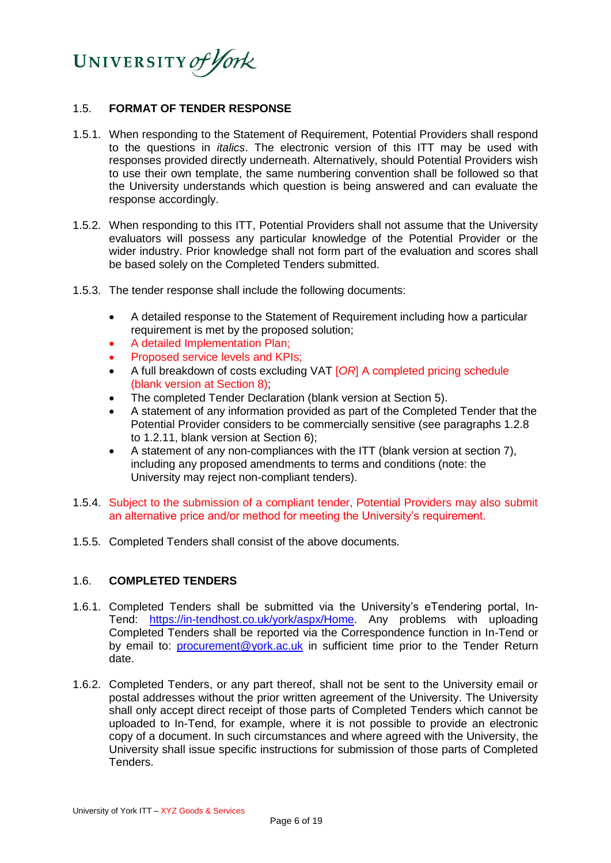

#### 1.5. **FORMAT OF TENDER RESPONSE**

- 1.5.1. When responding to the Statement of Requirement, Potential Providers shall respond to the questions in *italics*. The electronic version of this ITT may be used with responses provided directly underneath. Alternatively, should Potential Providers wish to use their own template, the same numbering convention shall be followed so that the University understands which question is being answered and can evaluate the response accordingly.
- 1.5.2. When responding to this ITT, Potential Providers shall not assume that the University evaluators will possess any particular knowledge of the Potential Provider or the wider industry. Prior knowledge shall not form part of the evaluation and scores shall be based solely on the Completed Tenders submitted.
- 1.5.3. The tender response shall include the following documents:
	- A detailed response to the Statement of Requirement including how a particular requirement is met by the proposed solution;
	- A detailed Implementation Plan;
	- Proposed service levels and KPIs;
	- A full breakdown of costs excluding VAT [*OR*] A completed pricing schedule (blank version at Section 8);
	- The completed Tender Declaration (blank version at Section 5).
	- A statement of any information provided as part of the Completed Tender that the Potential Provider considers to be commercially sensitive (see paragraphs 1.2.8 to 1.2.11, blank version at Section 6);
	- A statement of any non-compliances with the ITT (blank version at section 7), including any proposed amendments to terms and conditions (note: the University may reject non-compliant tenders).
- 1.5.4. Subject to the submission of a compliant tender, Potential Providers may also submit an alternative price and/or method for meeting the University's requirement.
- 1.5.5. Completed Tenders shall consist of the above documents.

## 1.6. **COMPLETED TENDERS**

- 1.6.1. Completed Tenders shall be submitted via the University's eTendering portal, In-Tend: [https://in-tendhost.co.uk/york/aspx/Home.](https://in-tendhost.co.uk/york/aspx/Home) Any problems with uploading Completed Tenders shall be reported via the Correspondence function in In-Tend or by email to: [procurement@york.ac.uk](mailto:procurement@york.ac.uk) in sufficient time prior to the Tender Return date.
- 1.6.2. Completed Tenders, or any part thereof, shall not be sent to the University email or postal addresses without the prior written agreement of the University. The University shall only accept direct receipt of those parts of Completed Tenders which cannot be uploaded to In-Tend, for example, where it is not possible to provide an electronic copy of a document. In such circumstances and where agreed with the University, the University shall issue specific instructions for submission of those parts of Completed Tenders.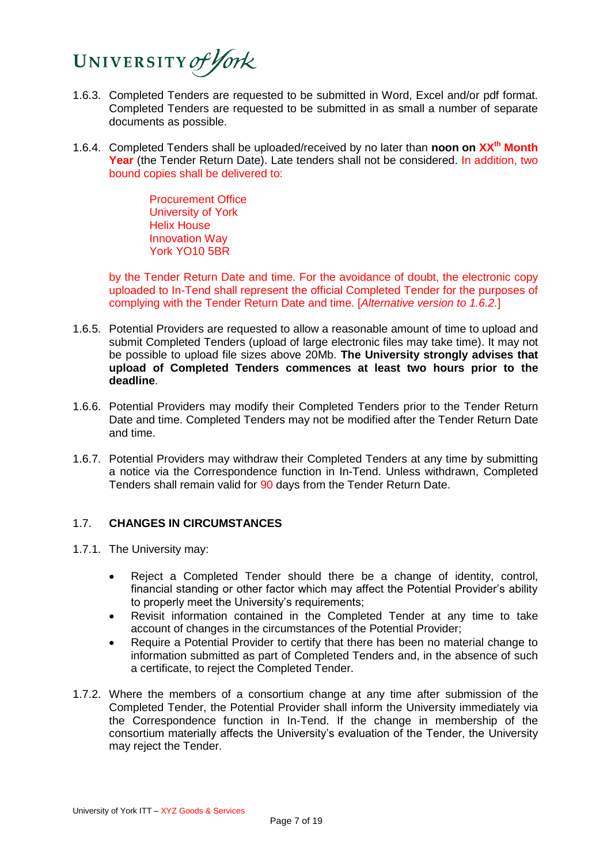

- 1.6.3. Completed Tenders are requested to be submitted in Word, Excel and/or pdf format. Completed Tenders are requested to be submitted in as small a number of separate documents as possible.
- 1.6.4. Completed Tenders shall be uploaded/received by no later than **noon on XXth Month Year** (the Tender Return Date). Late tenders shall not be considered. In addition, two bound copies shall be delivered to:

Procurement Office University of York Helix House Innovation Way York YO10 5BR

by the Tender Return Date and time. For the avoidance of doubt, the electronic copy uploaded to In-Tend shall represent the official Completed Tender for the purposes of complying with the Tender Return Date and time. [*Alternative version to 1.6.2.*]

- 1.6.5. Potential Providers are requested to allow a reasonable amount of time to upload and submit Completed Tenders (upload of large electronic files may take time). It may not be possible to upload file sizes above 20Mb. **The University strongly advises that upload of Completed Tenders commences at least two hours prior to the deadline**.
- 1.6.6. Potential Providers may modify their Completed Tenders prior to the Tender Return Date and time. Completed Tenders may not be modified after the Tender Return Date and time.
- 1.6.7. Potential Providers may withdraw their Completed Tenders at any time by submitting a notice via the Correspondence function in In-Tend. Unless withdrawn, Completed Tenders shall remain valid for 90 days from the Tender Return Date.

## 1.7. **CHANGES IN CIRCUMSTANCES**

- 1.7.1. The University may:
	- Reject a Completed Tender should there be a change of identity, control, financial standing or other factor which may affect the Potential Provider's ability to properly meet the University's requirements;
	- Revisit information contained in the Completed Tender at any time to take account of changes in the circumstances of the Potential Provider;
	- Require a Potential Provider to certify that there has been no material change to information submitted as part of Completed Tenders and, in the absence of such a certificate, to reject the Completed Tender.
- 1.7.2. Where the members of a consortium change at any time after submission of the Completed Tender, the Potential Provider shall inform the University immediately via the Correspondence function in In-Tend. If the change in membership of the consortium materially affects the University's evaluation of the Tender, the University may reject the Tender.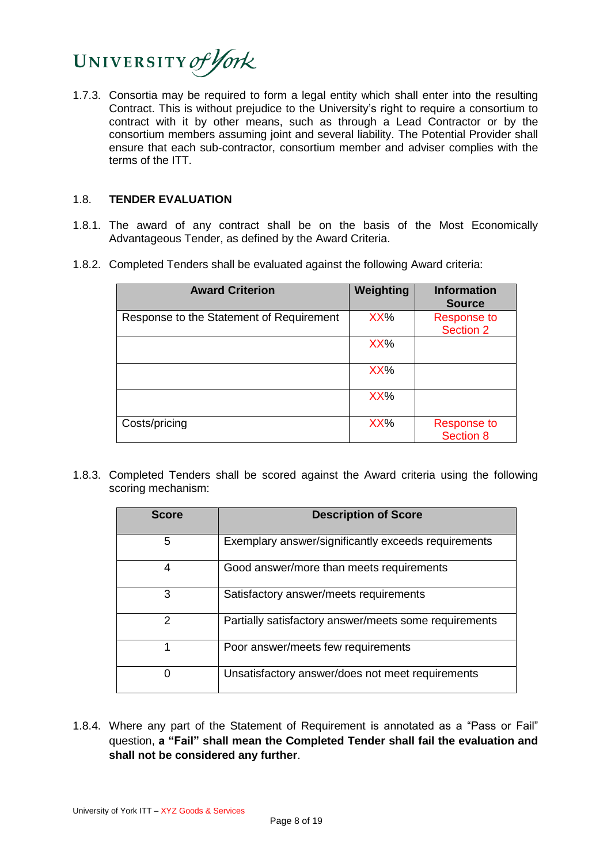

1.7.3. Consortia may be required to form a legal entity which shall enter into the resulting Contract. This is without prejudice to the University's right to require a consortium to contract with it by other means, such as through a Lead Contractor or by the consortium members assuming joint and several liability. The Potential Provider shall ensure that each sub-contractor, consortium member and adviser complies with the terms of the ITT.

#### 1.8. **TENDER EVALUATION**

- 1.8.1. The award of any contract shall be on the basis of the Most Economically Advantageous Tender, as defined by the Award Criteria.
- 1.8.2. Completed Tenders shall be evaluated against the following Award criteria:

| <b>Award Criterion</b>                   | Weighting | <b>Information</b><br><b>Source</b> |
|------------------------------------------|-----------|-------------------------------------|
| Response to the Statement of Requirement | XX%       | <b>Response to</b><br>Section 2     |
|                                          | XX%       |                                     |
|                                          | XX%       |                                     |
|                                          | XX%       |                                     |
| Costs/pricing                            | XX%       | <b>Response to</b><br>Section 8     |

1.8.3. Completed Tenders shall be scored against the Award criteria using the following scoring mechanism:

| <b>Score</b>  | <b>Description of Score</b>                           |  |
|---------------|-------------------------------------------------------|--|
| 5             | Exemplary answer/significantly exceeds requirements   |  |
| 4             | Good answer/more than meets requirements              |  |
| 3             | Satisfactory answer/meets requirements                |  |
| $\mathcal{P}$ | Partially satisfactory answer/meets some requirements |  |
|               | Poor answer/meets few requirements                    |  |
|               | Unsatisfactory answer/does not meet requirements      |  |

1.8.4. Where any part of the Statement of Requirement is annotated as a "Pass or Fail" question, **a "Fail" shall mean the Completed Tender shall fail the evaluation and shall not be considered any further**.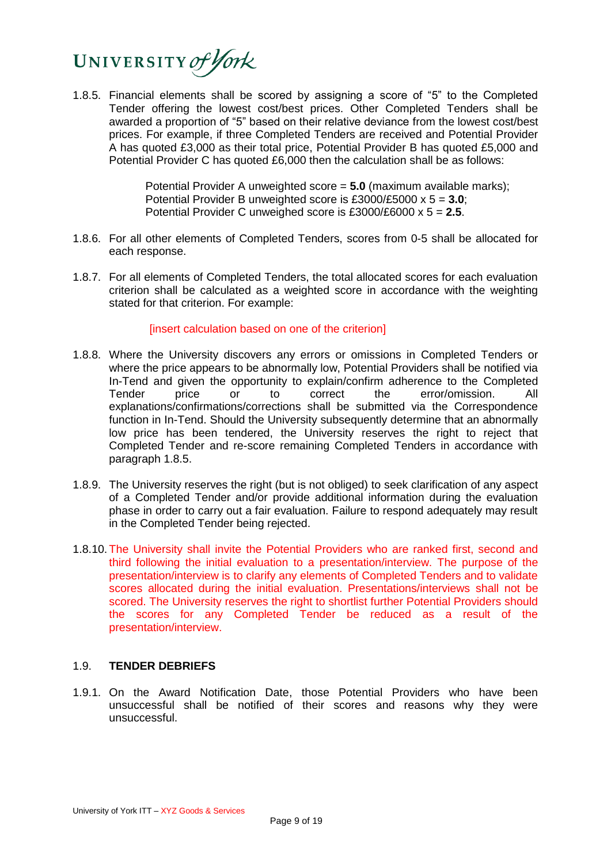

1.8.5. Financial elements shall be scored by assigning a score of "5" to the Completed Tender offering the lowest cost/best prices. Other Completed Tenders shall be awarded a proportion of "5" based on their relative deviance from the lowest cost/best prices. For example, if three Completed Tenders are received and Potential Provider A has quoted £3,000 as their total price, Potential Provider B has quoted £5,000 and Potential Provider C has quoted £6,000 then the calculation shall be as follows:

> Potential Provider A unweighted score = **5.0** (maximum available marks); Potential Provider B unweighted score is £3000/£5000 x 5 = **3.0**; Potential Provider C unweighed score is £3000/£6000 x 5 = **2.5**.

- 1.8.6. For all other elements of Completed Tenders, scores from 0-5 shall be allocated for each response.
- 1.8.7. For all elements of Completed Tenders, the total allocated scores for each evaluation criterion shall be calculated as a weighted score in accordance with the weighting stated for that criterion. For example:

[insert calculation based on one of the criterion]

- 1.8.8. Where the University discovers any errors or omissions in Completed Tenders or where the price appears to be abnormally low, Potential Providers shall be notified via In-Tend and given the opportunity to explain/confirm adherence to the Completed Tender price or to correct the error/omission. All explanations/confirmations/corrections shall be submitted via the Correspondence function in In-Tend. Should the University subsequently determine that an abnormally low price has been tendered, the University reserves the right to reject that Completed Tender and re-score remaining Completed Tenders in accordance with paragraph 1.8.5.
- 1.8.9. The University reserves the right (but is not obliged) to seek clarification of any aspect of a Completed Tender and/or provide additional information during the evaluation phase in order to carry out a fair evaluation. Failure to respond adequately may result in the Completed Tender being rejected.
- 1.8.10. The University shall invite the Potential Providers who are ranked first, second and third following the initial evaluation to a presentation/interview. The purpose of the presentation/interview is to clarify any elements of Completed Tenders and to validate scores allocated during the initial evaluation. Presentations/interviews shall not be scored. The University reserves the right to shortlist further Potential Providers should the scores for any Completed Tender be reduced as a result of the presentation/interview.

#### 1.9. **TENDER DEBRIEFS**

1.9.1. On the Award Notification Date, those Potential Providers who have been unsuccessful shall be notified of their scores and reasons why they were unsuccessful.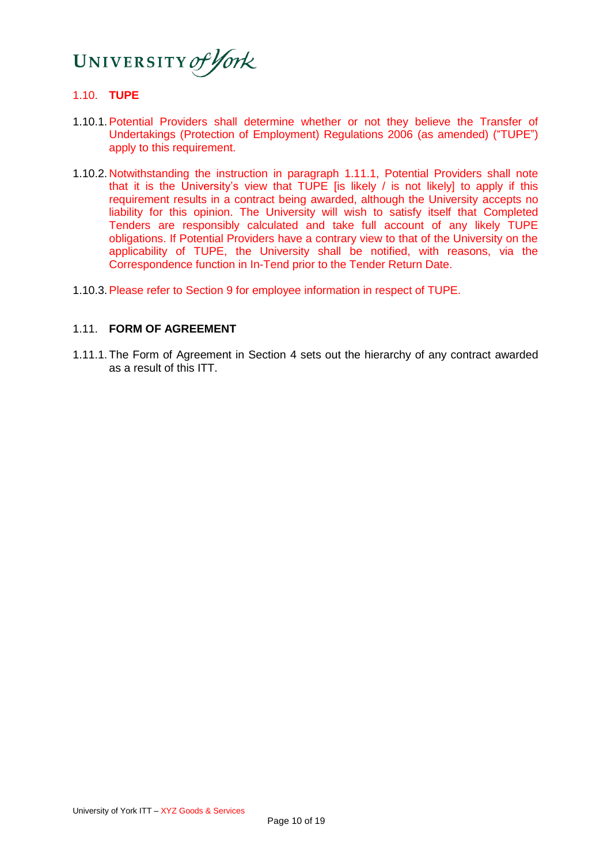

## 1.10. **TUPE**

- 1.10.1.Potential Providers shall determine whether or not they believe the Transfer of Undertakings (Protection of Employment) Regulations 2006 (as amended) ("TUPE") apply to this requirement.
- 1.10.2. Notwithstanding the instruction in paragraph 1.11.1, Potential Providers shall note that it is the University's view that TUPE [is likely / is not likely] to apply if this requirement results in a contract being awarded, although the University accepts no liability for this opinion. The University will wish to satisfy itself that Completed Tenders are responsibly calculated and take full account of any likely TUPE obligations. If Potential Providers have a contrary view to that of the University on the applicability of TUPE, the University shall be notified, with reasons, via the Correspondence function in In-Tend prior to the Tender Return Date.
- 1.10.3.Please refer to Section 9 for employee information in respect of TUPE.

#### 1.11. **FORM OF AGREEMENT**

1.11.1. The Form of Agreement in Section 4 sets out the hierarchy of any contract awarded as a result of this ITT.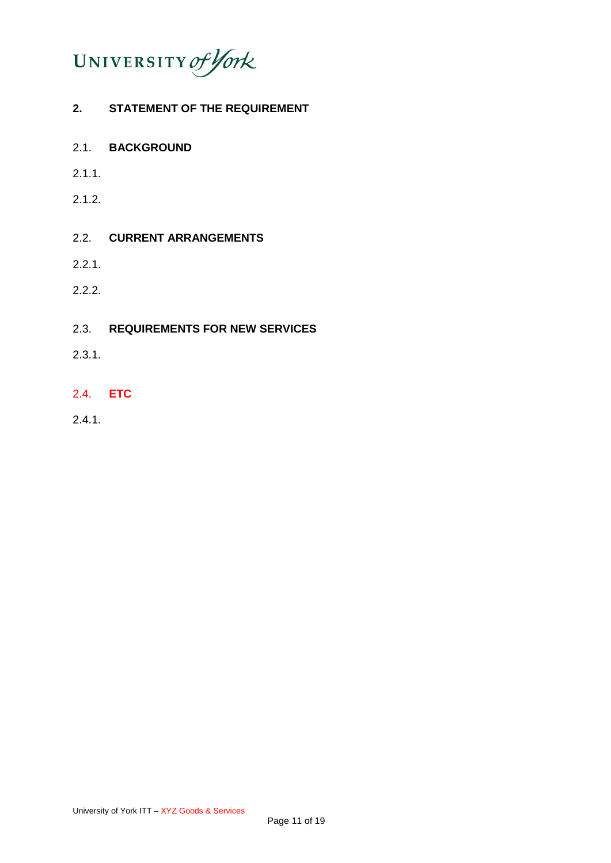

# **2. STATEMENT OF THE REQUIREMENT**

- 2.1. **BACKGROUND**
- 2.1.1.
- 2.1.2.

# 2.2. **CURRENT ARRANGEMENTS**

- 2.2.1.
- 2.2.2.

## 2.3. **REQUIREMENTS FOR NEW SERVICES**

- 2.3.1.
- 2.4. **ETC**
- 2.4.1.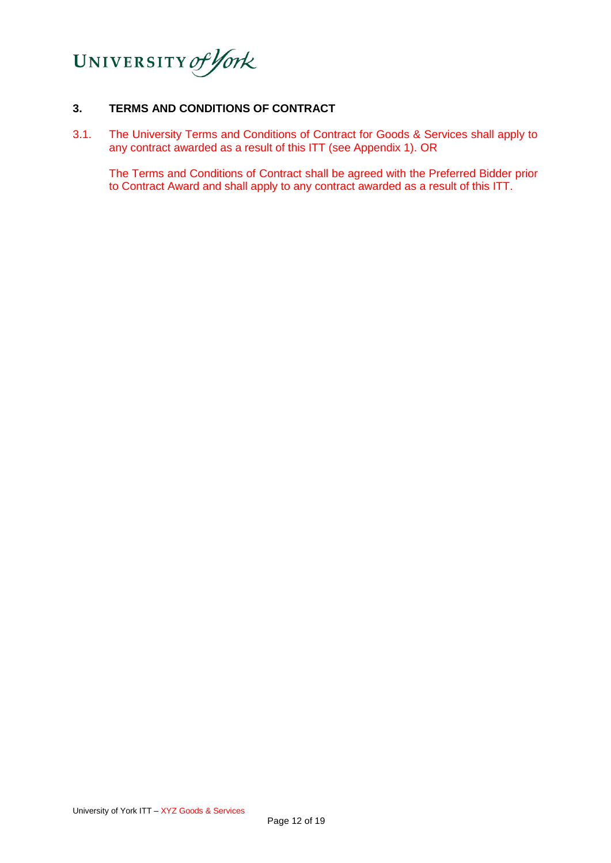

# **3. TERMS AND CONDITIONS OF CONTRACT**

3.1. The University Terms and Conditions of Contract for Goods & Services shall apply to any contract awarded as a result of this ITT (see Appendix 1). OR

The Terms and Conditions of Contract shall be agreed with the Preferred Bidder prior to Contract Award and shall apply to any contract awarded as a result of this ITT.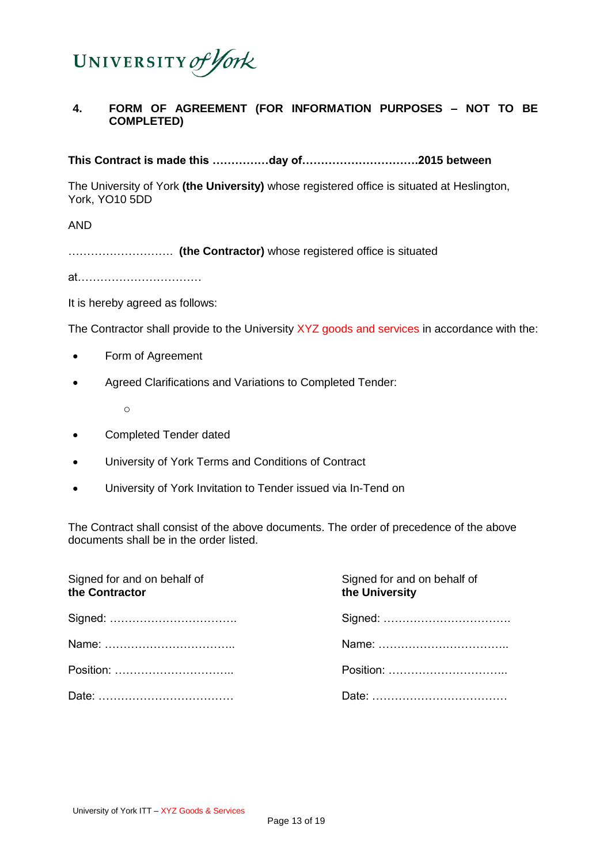

# **4. FORM OF AGREEMENT (FOR INFORMATION PURPOSES – NOT TO BE COMPLETED)**

**This Contract is made this ……………day of………………………….2015 between** 

The University of York **(the University)** whose registered office is situated at Heslington, York, YO10 5DD

AND

………………………. **(the Contractor)** whose registered office is situated

at……………………………

It is hereby agreed as follows:

The Contractor shall provide to the University XYZ goods and services in accordance with the:

- Form of Agreement
- Agreed Clarifications and Variations to Completed Tender:

o

- Completed Tender dated
- University of York Terms and Conditions of Contract
- University of York Invitation to Tender issued via In-Tend on

The Contract shall consist of the above documents. The order of precedence of the above documents shall be in the order listed.

| Signed for and on behalf of<br>the Contractor | Signed for and on behalf of<br>the University |
|-----------------------------------------------|-----------------------------------------------|
|                                               |                                               |
|                                               |                                               |
|                                               |                                               |
|                                               |                                               |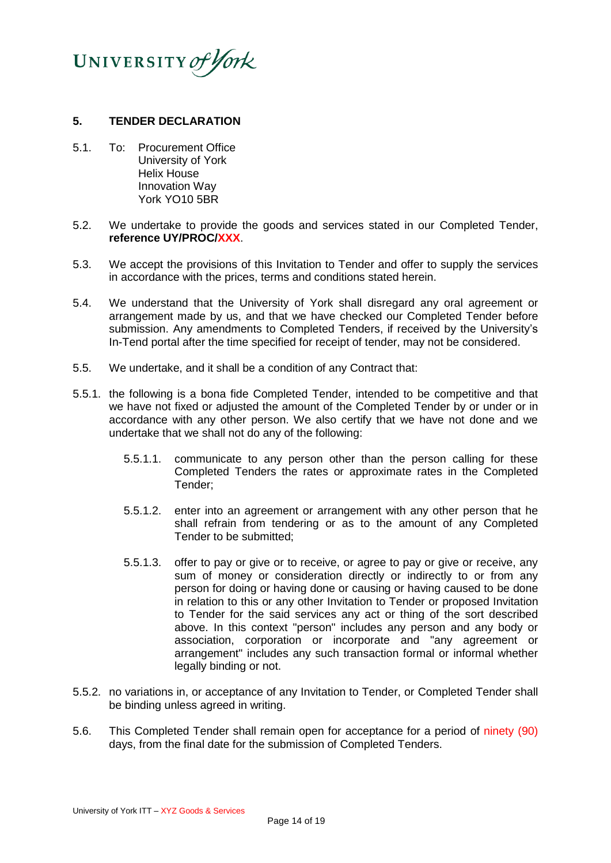

#### **5. TENDER DECLARATION**

- 5.1. To: Procurement Office University of York Helix House Innovation Way York YO10 5BR
- 5.2. We undertake to provide the goods and services stated in our Completed Tender, **reference UY/PROC/XXX**.
- 5.3. We accept the provisions of this Invitation to Tender and offer to supply the services in accordance with the prices, terms and conditions stated herein.
- 5.4. We understand that the University of York shall disregard any oral agreement or arrangement made by us, and that we have checked our Completed Tender before submission. Any amendments to Completed Tenders, if received by the University's In-Tend portal after the time specified for receipt of tender, may not be considered.
- 5.5. We undertake, and it shall be a condition of any Contract that:
- 5.5.1. the following is a bona fide Completed Tender, intended to be competitive and that we have not fixed or adjusted the amount of the Completed Tender by or under or in accordance with any other person. We also certify that we have not done and we undertake that we shall not do any of the following:
	- 5.5.1.1. communicate to any person other than the person calling for these Completed Tenders the rates or approximate rates in the Completed Tender;
	- 5.5.1.2. enter into an agreement or arrangement with any other person that he shall refrain from tendering or as to the amount of any Completed Tender to be submitted;
	- 5.5.1.3. offer to pay or give or to receive, or agree to pay or give or receive, any sum of money or consideration directly or indirectly to or from any person for doing or having done or causing or having caused to be done in relation to this or any other Invitation to Tender or proposed Invitation to Tender for the said services any act or thing of the sort described above. In this context "person" includes any person and any body or association, corporation or incorporate and "any agreement or arrangement" includes any such transaction formal or informal whether legally binding or not.
- 5.5.2. no variations in, or acceptance of any Invitation to Tender, or Completed Tender shall be binding unless agreed in writing.
- 5.6. This Completed Tender shall remain open for acceptance for a period of ninety (90) days, from the final date for the submission of Completed Tenders.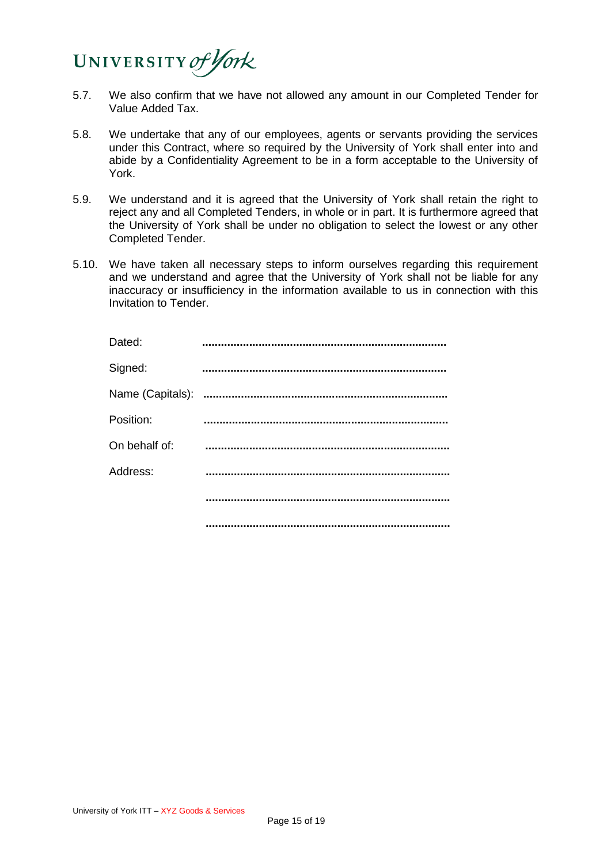

- 5.7. We also confirm that we have not allowed any amount in our Completed Tender for Value Added Tax.
- 5.8. We undertake that any of our employees, agents or servants providing the services under this Contract, where so required by the University of York shall enter into and abide by a Confidentiality Agreement to be in a form acceptable to the University of York.
- 5.9. We understand and it is agreed that the University of York shall retain the right to reject any and all Completed Tenders, in whole or in part. It is furthermore agreed that the University of York shall be under no obligation to select the lowest or any other Completed Tender.
- 5.10. We have taken all necessary steps to inform ourselves regarding this requirement and we understand and agree that the University of York shall not be liable for any inaccuracy or insufficiency in the information available to us in connection with this Invitation to Tender.

| Dated:           |  |
|------------------|--|
| Signed:          |  |
| Name (Capitals): |  |
| Position:        |  |
| On behalf of:    |  |
| Address:         |  |
|                  |  |
|                  |  |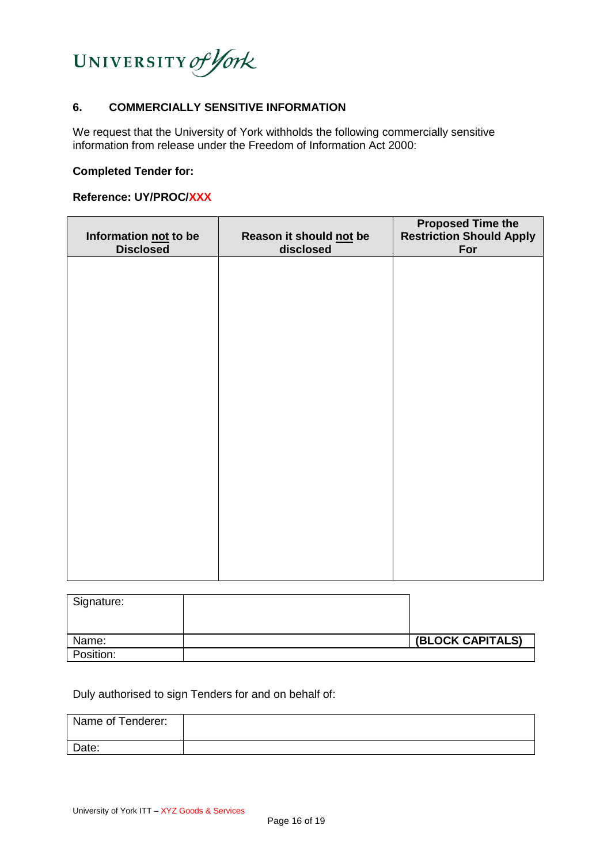

#### **6. COMMERCIALLY SENSITIVE INFORMATION**

We request that the University of York withholds the following commercially sensitive information from release under the Freedom of Information Act 2000:

#### **Completed Tender for:**

# **Reference: UY/PROC/XXX**

| Information not to be<br><b>Disclosed</b> | Reason it should not be<br>disclosed | <b>Proposed Time the Restriction Should Apply</b><br>For |
|-------------------------------------------|--------------------------------------|----------------------------------------------------------|
|                                           |                                      |                                                          |
|                                           |                                      |                                                          |
|                                           |                                      |                                                          |
|                                           |                                      |                                                          |
|                                           |                                      |                                                          |
|                                           |                                      |                                                          |
|                                           |                                      |                                                          |
|                                           |                                      |                                                          |

| Signature: |                  |
|------------|------------------|
|            |                  |
| Name:      | (BLOCK CAPITALS) |
| Position:  |                  |

Duly authorised to sign Tenders for and on behalf of:

| Name of Tenderer: |  |
|-------------------|--|
| Date:             |  |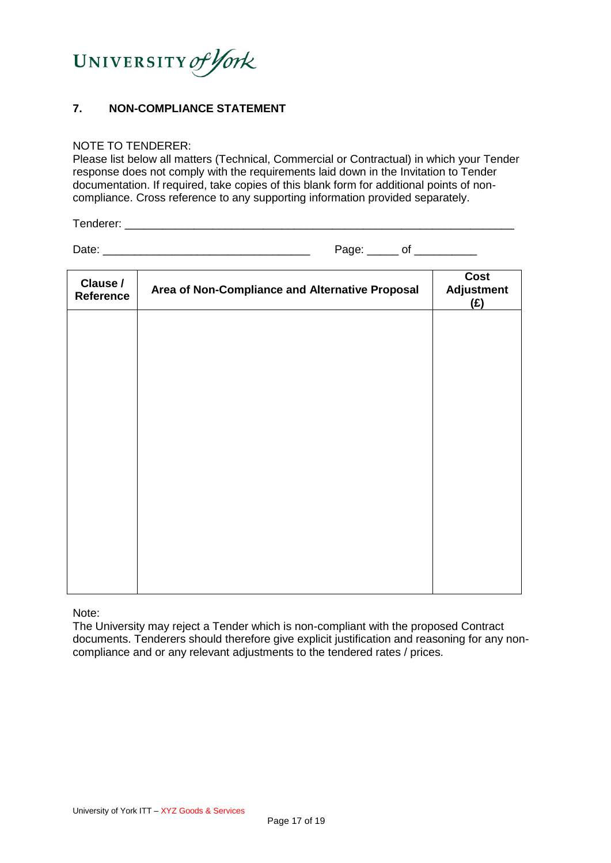

# **7. NON-COMPLIANCE STATEMENT**

#### NOTE TO TENDERER:

Please list below all matters (Technical, Commercial or Contractual) in which your Tender response does not comply with the requirements laid down in the Invitation to Tender documentation. If required, take copies of this blank form for additional points of noncompliance. Cross reference to any supporting information provided separately.

Tenderer: **with a set of the set of the set of the set of the set of the set of the set of the set of the set o** 

Date: \_\_\_\_\_\_\_\_\_\_\_\_\_\_\_\_\_\_\_\_\_\_\_\_\_\_\_\_\_\_\_\_\_ Page: \_\_\_\_\_ of \_\_\_\_\_\_\_\_\_\_

| Clause /<br>Reference | Area of Non-Compliance and Alternative Proposal | Cost<br><b>Adjustment</b><br>(E) |
|-----------------------|-------------------------------------------------|----------------------------------|
|                       |                                                 |                                  |
|                       |                                                 |                                  |
|                       |                                                 |                                  |
|                       |                                                 |                                  |
|                       |                                                 |                                  |
|                       |                                                 |                                  |
|                       |                                                 |                                  |

Note:

The University may reject a Tender which is non-compliant with the proposed Contract documents. Tenderers should therefore give explicit justification and reasoning for any noncompliance and or any relevant adjustments to the tendered rates / prices.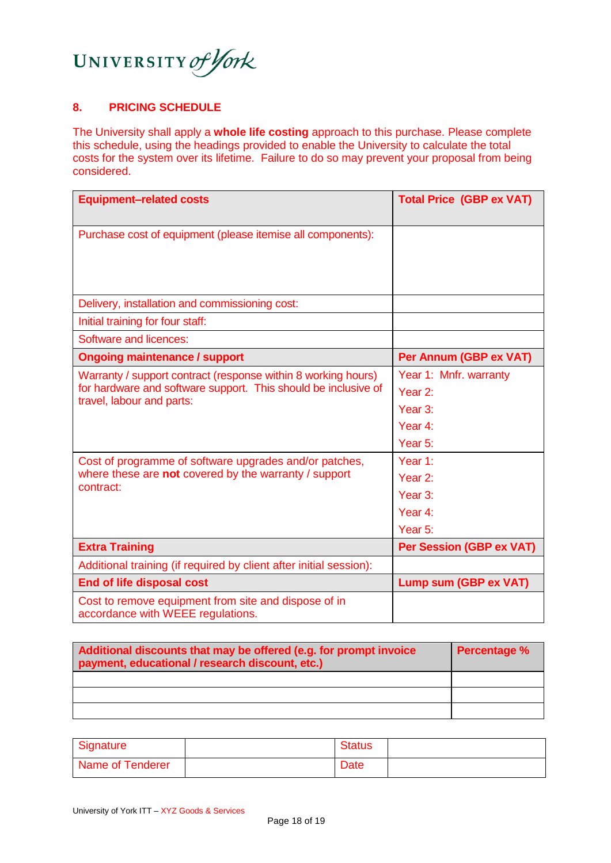

# **8. PRICING SCHEDULE**

The University shall apply a **whole life costing** approach to this purchase. Please complete this schedule, using the headings provided to enable the University to calculate the total costs for the system over its lifetime. Failure to do so may prevent your proposal from being considered.

| <b>Equipment-related costs</b>                                                                                                                                                                                                                                                               | <b>Total Price (GBP ex VAT)</b>                                                                                           |
|----------------------------------------------------------------------------------------------------------------------------------------------------------------------------------------------------------------------------------------------------------------------------------------------|---------------------------------------------------------------------------------------------------------------------------|
| Purchase cost of equipment (please itemise all components):                                                                                                                                                                                                                                  |                                                                                                                           |
| Delivery, installation and commissioning cost:                                                                                                                                                                                                                                               |                                                                                                                           |
| Initial training for four staff:                                                                                                                                                                                                                                                             |                                                                                                                           |
| Software and licences:                                                                                                                                                                                                                                                                       |                                                                                                                           |
| <b>Ongoing maintenance / support</b>                                                                                                                                                                                                                                                         | Per Annum (GBP ex VAT)                                                                                                    |
| Warranty / support contract (response within 8 working hours)<br>for hardware and software support. This should be inclusive of<br>travel, labour and parts:<br>Cost of programme of software upgrades and/or patches,<br>where these are not covered by the warranty / support<br>contract: | Year 1: Mnfr. warranty<br>Year 2:<br>Year 3:<br>Year 4:<br>Year 5:<br>Year 1:<br>Year 2:<br>Year 3:<br>Year 4:<br>Year 5: |
| <b>Extra Training</b>                                                                                                                                                                                                                                                                        | <b>Per Session (GBP ex VAT)</b>                                                                                           |
| Additional training (if required by client after initial session):                                                                                                                                                                                                                           |                                                                                                                           |
| <b>End of life disposal cost</b>                                                                                                                                                                                                                                                             | Lump sum (GBP ex VAT)                                                                                                     |
| Cost to remove equipment from site and dispose of in<br>accordance with WEEE regulations.                                                                                                                                                                                                    |                                                                                                                           |

| Additional discounts that may be offered (e.g. for prompt invoice<br>payment, educational / research discount, etc.) | <b>Percentage %</b> |
|----------------------------------------------------------------------------------------------------------------------|---------------------|
|                                                                                                                      |                     |
|                                                                                                                      |                     |
|                                                                                                                      |                     |

| Signature        | <b>Status</b> |  |
|------------------|---------------|--|
| Name of Tenderer | <b>Date</b>   |  |